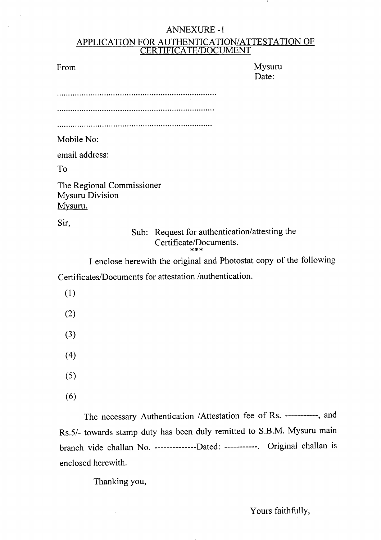## ANNEXURE-1 APPLICATION FOR AUTHENTICATION/ATTESTATION OF CERTIFICATE/DOCUMENT

From Mysuru Date:

**.....................................................................**

Mobile No:

email address:

To

The Regional Commissioner Mysuru Division Mysuru.

Sir,

# Sub: Request for authentication/attesting the Certificate/Documents.

\*\*\* I enclose herewith the original and Photostat copy of the following Certificates/Documents for attestation /authentication.

- (1)
- (2)
- (3)
- (4)
- (5)
- (6)

The necessary Authentication /Attestation fee of Rs. -----------, and Rs.5/- towards stamp duty has been duly remitted to S.B.M. Mysuru main branch vide challan No. --------------Dated: -----------. Original challan is enclosed herewith.

Thanking you,

Yours faithfully,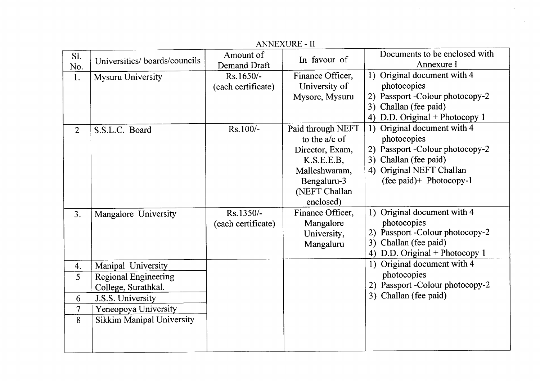|                |                                  |                           | <b>ANNEXURE - II</b> |                                             |
|----------------|----------------------------------|---------------------------|----------------------|---------------------------------------------|
| S1.            | Universities/boards/councils     | Amount of<br>Demand Draft | In favour of         | Documents to be enclosed with<br>Annexure I |
| No.<br>1.      | <b>Mysuru University</b>         | Rs.1650/-                 | Finance Officer,     | 1) Original document with 4                 |
|                |                                  | (each certificate)        | University of        | photocopies                                 |
|                |                                  |                           | Mysore, Mysuru       | 2) Passport -Colour photocopy-2             |
|                |                                  |                           |                      | 3) Challan (fee paid)                       |
|                |                                  |                           |                      | 4) D.D. Original + Photocopy 1              |
| $\overline{2}$ | S.S.L.C. Board                   | Rs.100/-                  | Paid through NEFT    | 1) Original document with 4                 |
|                |                                  |                           | to the $a/c$ of      | photocopies                                 |
|                |                                  |                           | Director, Exam,      | 2) Passport -Colour photocopy-2             |
|                |                                  |                           | K.S.E.E.B,           | 3) Challan (fee paid)                       |
|                |                                  |                           | Malleshwaram,        | 4) Original NEFT Challan                    |
|                |                                  |                           | Bengaluru-3          | (fee paid)+ Photocopy-1                     |
|                |                                  |                           | (NEFT Challan        |                                             |
|                |                                  |                           | enclosed)            |                                             |
| 3.             | Mangalore University             | Rs.1350/-                 | Finance Officer,     | 1) Original document with 4                 |
|                |                                  | (each certificate)        | Mangalore            | photocopies                                 |
|                |                                  |                           | University,          | 2) Passport -Colour photocopy-2             |
|                |                                  |                           | Mangaluru            | Challan (fee paid)<br>3)                    |
|                |                                  |                           |                      | 4) D.D. Original + Photocopy 1              |
| 4.             | Manipal University               |                           |                      | 1) Original document with 4                 |
| 5              | <b>Regional Engineering</b>      |                           |                      | photocopies                                 |
|                | College, Surathkal.              |                           |                      | 2) Passport -Colour photocopy-2             |
| 6              | J.S.S. University                |                           |                      | 3) Challan (fee paid)                       |
| $\overline{7}$ | Yeneopoya University             |                           |                      |                                             |
| 8              | <b>Sikkim Manipal University</b> |                           |                      |                                             |
|                |                                  |                           |                      |                                             |
|                |                                  |                           |                      |                                             |
|                |                                  |                           |                      |                                             |

 $\sim 10^7$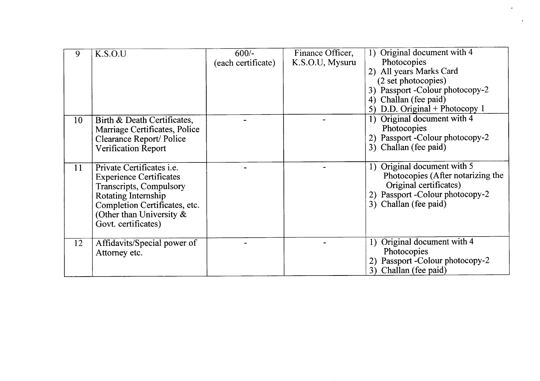| 9  | K.S.O.U                          | $600/-$            | Finance Officer, | Original document with 4<br>$\left  \right $ |
|----|----------------------------------|--------------------|------------------|----------------------------------------------|
|    |                                  | (each certificate) | K.S.O.U, Mysuru  | Photocopies                                  |
|    |                                  |                    |                  | 2) All years Marks Card                      |
|    |                                  |                    |                  | (2 set photocopies)                          |
|    |                                  |                    |                  | 3) Passport -Colour photocopy-2              |
|    |                                  |                    |                  | 4) Challan (fee paid)                        |
|    |                                  |                    |                  | D.D. Original + Photocopy $1$<br>5)          |
| 10 | Birth & Death Certificates,      |                    |                  | 1) Original document with 4                  |
|    | Marriage Certificates, Police    |                    |                  | Photocopies                                  |
|    | Clearance Report/Police          |                    |                  | 2) Passport - Colour photocopy-2             |
|    | <b>Verification Report</b>       |                    |                  | 3) Challan (fee paid)                        |
|    |                                  |                    |                  |                                              |
| 11 | Private Certificates <i>i.e.</i> |                    |                  | 1) Original document with 5                  |
|    | <b>Experience Certificates</b>   |                    |                  | Photocopies (After notarizing the            |
|    | <b>Transcripts, Compulsory</b>   |                    |                  | Original certificates)                       |
|    | Rotating Internship              |                    |                  | 2) Passport - Colour photocopy-2             |
|    | Completion Certificates, etc.    |                    |                  | 3) Challan (fee paid)                        |
|    | (Other than University $\&$      |                    |                  |                                              |
|    | Govt. certificates)              |                    |                  |                                              |
|    |                                  |                    |                  |                                              |
| 12 | Affidavits/Special power of      |                    |                  | 1) Original document with 4                  |
|    | Attorney etc.                    |                    |                  | Photocopies                                  |
|    |                                  |                    |                  | 2) Passport - Colour photocopy-2             |
|    |                                  |                    |                  | 3) Challan (fee paid)                        |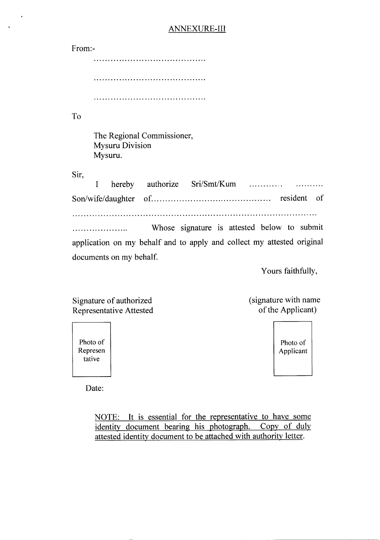## **ANNEXURE-III**

| From:-                                                                 |
|------------------------------------------------------------------------|
|                                                                        |
|                                                                        |
|                                                                        |
| To                                                                     |
| The Regional Commissioner,<br><b>Mysuru Division</b><br>Mysuru.        |
| Sir,<br>hereby authorize Sri/Smt/Kum<br>I                              |
| – of                                                                   |
|                                                                        |
| Whose signature is attested below to submit                            |
| application on my behalf and to apply and collect my attested original |
| documents on my behalf.                                                |

Yours faithfully,

Signature of authorized Representative Attested (signature with name of the Applicant)

> Photo of Applicant

Photo of Represen tative

 $\ddot{\phantom{a}}$ 

Date:

NOTE: It is essential for the representative to have some identity document bearing his photograph. Copy of duly attested identity document to be attached with authority letter.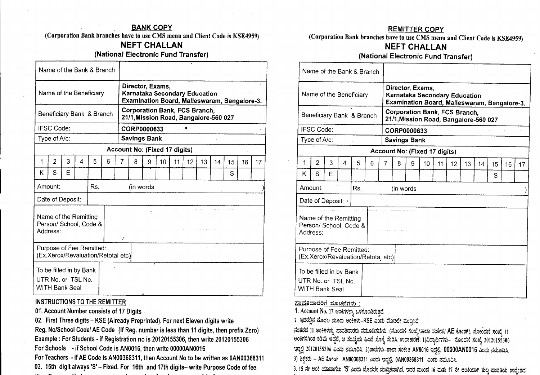#### BANK COPY

(Corporation Bank branches have to use CMS menu and Client Code is KSE4959)

## **NEFT CHALLAN**

(National Electronic Fund Transfer)

|   |                                                                 |   |   | Name of the Bank & Branch                                      |   |   |                                                                               |   |    |    |    |    |    |                                              |    |    |
|---|-----------------------------------------------------------------|---|---|----------------------------------------------------------------|---|---|-------------------------------------------------------------------------------|---|----|----|----|----|----|----------------------------------------------|----|----|
|   |                                                                 |   |   | Name of the Beneficiary                                        |   |   | Director, Exams,<br>Karnataka Secondary Education                             |   |    |    |    |    |    | Examination Board, Malleswaram, Bangalore-3. |    |    |
|   |                                                                 |   |   | Beneficiary Bank & Branch                                      |   |   | <b>Corporation Bank, FCS Branch,</b><br>21/1, Mission Road, Bangalore-560 027 |   |    |    |    |    |    |                                              |    |    |
|   | <b>IFSC Code:</b>                                               |   |   |                                                                |   |   | CORP0000633                                                                   |   |    |    |    |    |    |                                              |    |    |
|   | Type of A/c:                                                    |   |   |                                                                |   |   | <b>Savings Bank</b>                                                           |   |    |    |    |    |    |                                              |    |    |
|   |                                                                 |   |   |                                                                |   |   | Account No: (Fixed 17 digits)                                                 |   |    |    |    |    |    |                                              |    |    |
| 1 | $\overline{2}$                                                  | 3 | 4 | 5                                                              | 6 | 7 | 8                                                                             | 9 | 10 | 11 | 12 | 13 | 14 | 15                                           | 16 | 17 |
| Κ | S                                                               | Ε |   |                                                                |   |   |                                                                               |   |    |    |    |    |    | S                                            |    |    |
|   | Amount:                                                         |   |   | Rs.                                                            |   |   | (in words)                                                                    |   |    |    |    |    |    |                                              |    |    |
|   | Date of Deposit:                                                |   |   |                                                                |   |   |                                                                               |   |    |    |    |    |    |                                              |    |    |
|   | Name of the Remitting<br>Address:                               |   |   | Person/ School, Code &                                         |   | 1 |                                                                               |   |    |    |    |    |    |                                              |    |    |
|   |                                                                 |   |   | Purpose of Fee Remitted:<br>(Ex.Xerox/Revaluation/Retotal etc) |   |   |                                                                               |   |    |    |    |    |    |                                              |    |    |
|   | To be filled in by Bank<br>UTR No. or TSL No.<br>WITH Bank Seal |   |   |                                                                |   |   |                                                                               |   |    |    |    |    |    |                                              |    |    |

#### INSTRUCTIONSTO THE REMITTER

01.Account Number consists of 17 Digits

02. First Three digits - KSE (Already Preprinted). For next Eleven digits write Reg. NolSchool *Codel* AE Code (If Reg. number is less than 11digits, then prefix Zero) Example: For Students - if Registration no is 20120155306, then write 20120155306 For Schools - if School Code is AN0016, then write 00000AN0016

For Teachers - if AE Code is AN00368311, then Account No to be written as 0AN00368311

03. 15th digit always '5' - Fixed. For 16th and 17th digits- write Purpose Code of fee.

#### REMITTER-COpy

(Corporation Bank branches have to use CMS menu and Client Code is KSE4959)

## **NEFT CHALLAN**

## (National Electronic Fund Transfer)

|    | Name of the Bank & Branch                                       |   |   |     |   |                |           |                     |                                                                                                   |    |    |    |    |    |    |    |
|----|-----------------------------------------------------------------|---|---|-----|---|----------------|-----------|---------------------|---------------------------------------------------------------------------------------------------|----|----|----|----|----|----|----|
|    | Name of the Beneficiary                                         |   |   |     |   |                |           |                     | Director, Exams,<br>Karnataka Secondary Education<br>Examination Board, Malleswaram, Bangalore-3. |    |    |    |    |    |    |    |
|    | Beneficiary Bank & Branch                                       |   |   |     |   |                |           |                     | <b>Corporation Bank, FCS Branch,</b><br>21/1, Mission Road, Bangalore-560 027                     |    |    |    |    |    |    |    |
|    | IFSC Code:                                                      |   |   |     |   |                |           | CORP0000633         |                                                                                                   |    |    |    |    |    |    |    |
|    | Type of A/c:                                                    |   |   |     |   |                |           | <b>Savings Bank</b> |                                                                                                   |    |    |    |    |    |    |    |
|    |                                                                 |   |   |     |   |                |           |                     | Account No: (Fixed 17 digits)                                                                     |    |    |    |    |    |    |    |
| 1  | $\overline{2}$                                                  | 3 | 4 | 5   | 6 | $\overline{7}$ | 8         | 9                   | 10                                                                                                | 11 | 12 | 13 | 14 | 15 | 16 | 17 |
| K. | S                                                               | E |   |     |   |                |           |                     |                                                                                                   |    |    |    |    | S  |    |    |
|    | Amount:                                                         |   |   | Rs. |   |                | (in words |                     |                                                                                                   |    |    |    |    |    |    |    |
|    | Date of Deposit: .                                              |   |   |     |   |                |           |                     |                                                                                                   |    |    |    |    |    |    |    |
|    | Name of the Remitting<br>Person/ School, Code &<br>Address:     |   |   |     |   |                |           |                     |                                                                                                   |    |    |    |    |    |    |    |
|    | Purpose of Fee Remitted:<br>(Ex.Xerox/Revaluation/Retotal etc)  |   |   |     |   |                |           |                     |                                                                                                   |    |    |    |    |    |    |    |
|    | To be filled in by Bank<br>UTR No. or TSL No.<br>WITH Bank Seal |   |   |     |   |                |           |                     |                                                                                                   |    |    |    |    |    |    |    |

<u>ಪಾವತಿದಾರರಿಗೆ ಸೂಚನೆಗಳು :</u>

1. Account No. 17 ಆಂಕಿಗಳನ್ನು ಒಳಗೊಂಡಿರುತ್ತದೆ.

2. ಇದರಲ್ಲಿನ ಮೊದಲ ಮೂರು ಅಂಕಿಗಳು–KSE ಎಂದು ಮೊದಲೇ ಮುದ್ರಿಸಿದೆ.

ನಂತರದ 11 ಅಂಕಿಗಳನ್ನು ಪಾವತಿದಾರರು ನಮೂದಿಸಬೇಕು. (ನೊಂದಣಿ ಸಂಖ್ಯೆ/ತಾಲಾ ಸಂಕೇತ/ AE ಕೋಡ್). ನೋಂದಣಿ ಸಂಖ್ಯೆ 11 ~o~rlQI\o;3*s~o3J* ~~d, ej ;rjo~ooJJ&.00~~.I. ~e()'!I.erom65dl'5:I)Jmtl1llfrl';J- Mod~ ;rjo~D20120155306 ಇದ್ದಿಲ್ಲ 20120155306 ಎಂದು ನಮೂದಿಸಿ. 2)ಶಾಲಗಳು–ಶಾಲಾ ಸಂಕೇತ AN0016 ಇದ್ದಲ್ಲ, OOOOOANOOT6 ಎಂದು ನಮೂದಿಸಿ.

3) ಶಿಕ್ಷಕರು – AE ಕೋಡ್ AN00368311 ಎಂದು ಇದ್ದಲ್ಲಿ, 0AN00368311 ಎಂದು ನಮೂದಿಸಿ.

 $-3.$  15 ನೇ ಅಂಕಿ ಯಾವಾಗಲು 'S' ಎಂದು ಮೊದಲೇ ಮುದ್ರಿತವಾಗಿದೆ. ಇದರ ಮುಂದೆ 16 ಮತು 17 ನೇ ಅಂಕಿಯಾಗಿ ಶುಲ್ಕ ಪಾವತಿಯ ಉದೇಶದ